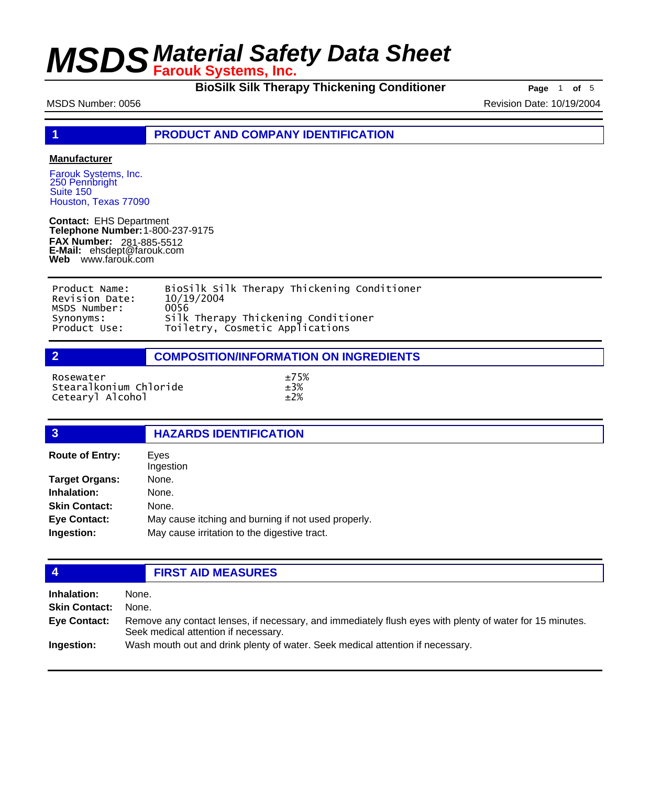**BioSilk Silk Therapy Thickening Conditioner Page** 1 of 5

MSDS Number: 0056 **Revision Date: 10/19/2004** Revision Date: 10/19/2004

**1 PRODUCT AND COMPANY IDENTIFICATION**

### **Manufacturer**

Farouk Systems, Inc. 250 Pennbright Suite 150 Houston, Texas 77090

**Contact:** EHS Department **Telephone Number:** 1-800-237-9175 **FAX Number: FAX Number:** 281-885-5512<br>**E-Mail:** ehsdept@farouk.com **Web** www.farouk.com

| Product Name:  | BioSilk Silk Therapy Thickening Conditioner |
|----------------|---------------------------------------------|
| Revision Date: | 10/19/2004                                  |
| MSDS Number:   | 0056                                        |
| Synonyms:      | Silk Therapy Thickening Conditioner         |
| Product Use:   | Toiletry, Cosmetic Applications             |

**2 COMPOSITION/INFORMATION ON INGREDIENTS**

| Rosewater              | $+75%$ |
|------------------------|--------|
| Stearalkonium Chloride | $+3%$  |
| Cetearyl Alcohol       | $+2%$  |

## **3 HAZARDS IDENTIFICATION**

| <b>Route of Entry:</b> | Eyes<br>Ingestion                                   |  |
|------------------------|-----------------------------------------------------|--|
| <b>Target Organs:</b>  | None.                                               |  |
| Inhalation:            | None.                                               |  |
| <b>Skin Contact:</b>   | None.                                               |  |
| <b>Eye Contact:</b>    | May cause itching and burning if not used properly. |  |
| Ingestion:             | May cause irritation to the digestive tract.        |  |
|                        |                                                     |  |

## **4 FIRST AID MEASURES**

| Inhalation:          | None.                                                                                                                                            |
|----------------------|--------------------------------------------------------------------------------------------------------------------------------------------------|
| <b>Skin Contact:</b> | None.                                                                                                                                            |
| Eye Contact:         | Remove any contact lenses, if necessary, and immediately flush eyes with plenty of water for 15 minutes.<br>Seek medical attention if necessary. |
| Ingestion:           | Wash mouth out and drink plenty of water. Seek medical attention if necessary.                                                                   |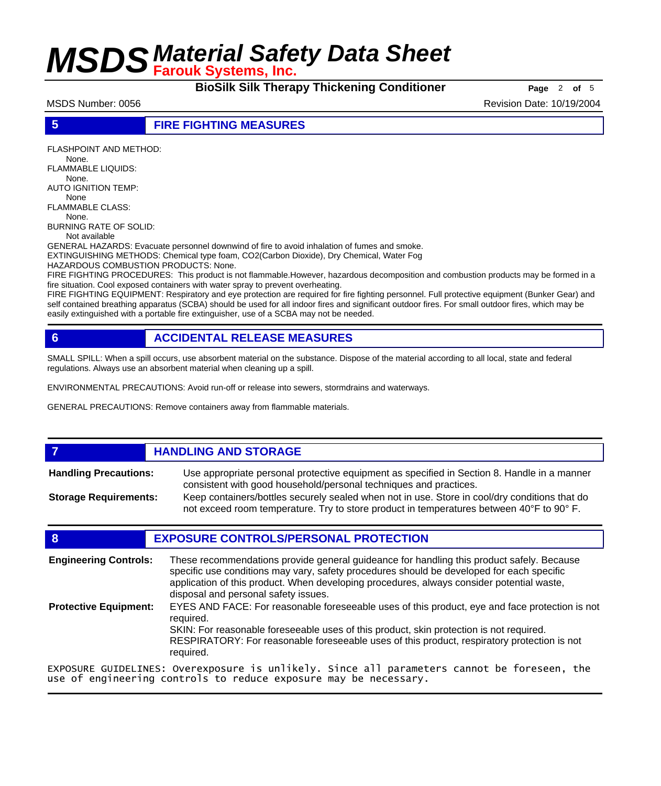**BioSilk Silk Therapy Thickening Conditioner Page** 2 of 5

MSDS Number: 0056 Revision Date: 10/19/2004

### **5 FIRE FIGHTING MEASURES**

FLASHPOINT AND METHOD:

 None. FLAMMABLE LIQUIDS:

None.

AUTO IGNITION TEMP: None

FLAMMABLE CLASS: None.

BURNING RATE OF SOLID:

Not available

GENERAL HAZARDS: Evacuate personnel downwind of fire to avoid inhalation of fumes and smoke.

EXTINGUISHING METHODS: Chemical type foam, CO2(Carbon Dioxide), Dry Chemical, Water Fog

HAZARDOUS COMBUSTION PRODUCTS: None.

FIRE FIGHTING PROCEDURES: This product is not flammable.However, hazardous decomposition and combustion products may be formed in a fire situation. Cool exposed containers with water spray to prevent overheating.

FIRE FIGHTING EQUIPMENT: Respiratory and eye protection are required for fire fighting personnel. Full protective equipment (Bunker Gear) and self contained breathing apparatus (SCBA) should be used for all indoor fires and significant outdoor fires. For small outdoor fires, which may be easily extinguished with a portable fire extinguisher, use of a SCBA may not be needed.

## **6 ACCIDENTAL RELEASE MEASURES**

SMALL SPILL: When a spill occurs, use absorbent material on the substance. Dispose of the material according to all local, state and federal regulations. Always use an absorbent material when cleaning up a spill.

ENVIRONMENTAL PRECAUTIONS: Avoid run-off or release into sewers, stormdrains and waterways.

GENERAL PRECAUTIONS: Remove containers away from flammable materials.

## *HANDLING AND STORAGE*

Use appropriate personal protective equipment as specified in Section 8. Handle in a manner consistent with good household/personal techniques and practices. **Handling Precautions:** Keep containers/bottles securely sealed when not in use. Store in cool/dry conditions that do **Storage Requirements:**

not exceed room temperature. Try to store product in temperatures between 40°F to 90° F.

## **8 EXPOSURE CONTROLS/PERSONAL PROTECTION**

These recommendations provide general guideance for handling this product safely. Because specific use conditions may vary, safety procedures should be developed for each specific application of this product. When developing procedures, always consider potential waste, disposal and personal safety issues. **Engineering Controls:** EYES AND FACE: For reasonable foreseeable uses of this product, eye and face protection is not required. SKIN: For reasonable foreseeable uses of this product, skin protection is not required. RESPIRATORY: For reasonable foreseeable uses of this product, respiratory protection is not required. **Protective Equipment:** EXPOSURE GUIDELINES: Overexposure is unlikely. Since all parameters cannot be foreseen, the

use of engineering controls to reduce exposure may be necessary.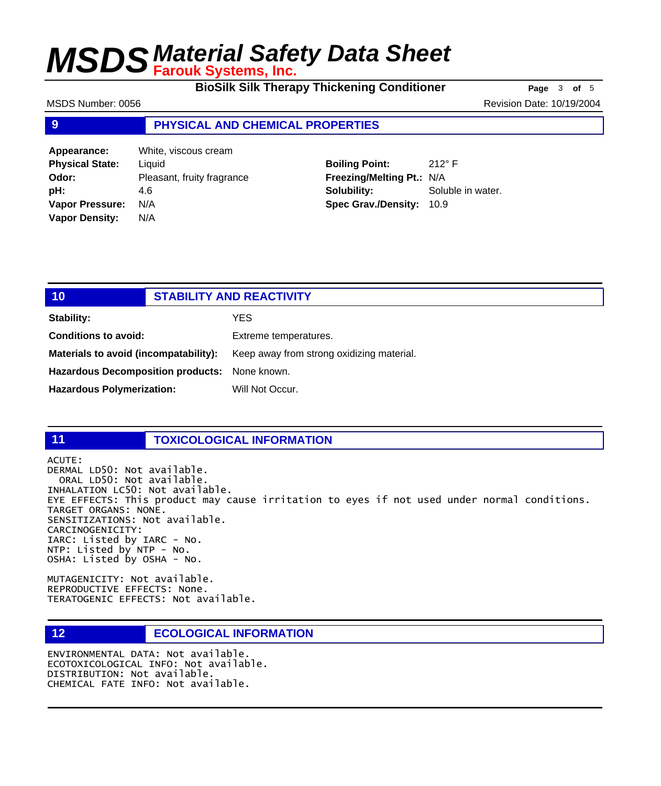**BioSilk Silk Therapy Thickening Conditioner Page** 3 of 5

MSDS Number: 0056 Revision Date: 10/19/2004

## **9 PHYSICAL AND CHEMICAL PROPERTIES**

**Appearance:** White, viscous cream **Physical State:** Liquid **Odor:** Pleasant, fruity fragrance **pH:** 4.6 **Vapor Pressure:** N/A **Vapor Density:** N/A

## **Boiling Point:** 212° F **Freezing/Melting Pt.:** N/A **Solubility:** Soluble in water. **Spec Grav./Density:** 10.9

| 10 <sup>°</sup>                               | <b>STABILITY AND REACTIVITY</b> |                                           |
|-----------------------------------------------|---------------------------------|-------------------------------------------|
| Stability:                                    |                                 | <b>YES</b>                                |
| <b>Conditions to avoid:</b>                   |                                 | Extreme temperatures.                     |
| Materials to avoid (incompatability):         |                                 | Keep away from strong oxidizing material. |
| Hazardous Decomposition products: None known. |                                 |                                           |
| <b>Hazardous Polymerization:</b>              |                                 | Will Not Occur.                           |

## **11 TOXICOLOGICAL INFORMATION**

ACUTE: DERMAL LD50: Not available. ORAL LD50: Not available. INHALATION LC50: Not available. EYE EFFECTS: This product may cause irritation to eyes if not used under normal conditions. TARGET ORGANS: NONE. SENSITIZATIONS: Not available. CARCINOGENICITY: IARC: Listed by IARC - No. NTP: Listed by NTP - No. OSHA: Listed by OSHA - No.

MUTAGENICITY: Not available. REPRODUCTIVE EFFECTS: None. TERATOGENIC EFFECTS: Not available.

## **12 ECOLOGICAL INFORMATION**

ENVIRONMENTAL DATA: Not available. ECOTOXICOLOGICAL INFO: Not available. DISTRIBUTION: Not available. CHEMICAL FATE INFO: Not available.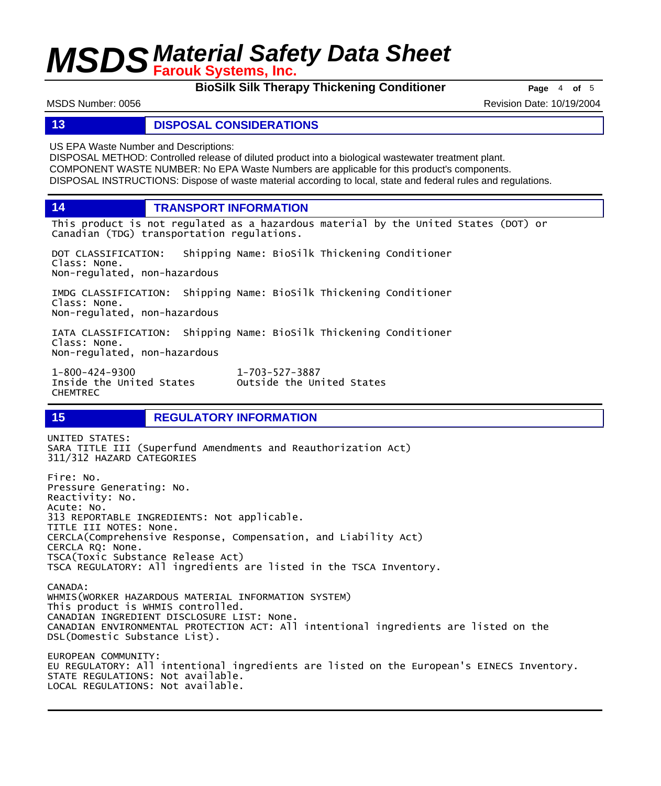**BioSilk Silk Therapy Thickening Conditioner Page** 4 of 5

MSDS Number: 0056 Revision Date: 10/19/2004

### **13 DISPOSAL CONSIDERATIONS**

US EPA Waste Number and Descriptions:

DISPOSAL METHOD: Controlled release of diluted product into a biological wastewater treatment plant. COMPONENT WASTE NUMBER: No EPA Waste Numbers are applicable for this product's components. DISPOSAL INSTRUCTIONS: Dispose of waste material according to local, state and federal rules and regulations.

**14 TRANSPORT INFORMATION**

This product is not regulated as a hazardous material by the United States (DOT) or Canadian (TDG) transportation regulations.

Outside the United States

DOT CLASSIFICATION: Shipping Name: BioSilk Thickening Conditioner Class: None. Non-regulated, non-hazardous

IMDG CLASSIFICATION: Shipping Name: BioSilk Thickening Conditioner Class: None. Non-regulated, non-hazardous

IATA CLASSIFICATION: Shipping Name: BioSilk Thickening Conditioner Class: None. Non-regulated, non-hazardous

1-800-424-9300 1-703-527-3887 CHEMTREC

## **15 REGULATORY INFORMATION**

UNITED STATES: SARA TITLE III (Superfund Amendments and Reauthorization Act) 311/312 HAZARD CATEGORIES Fire: No. Pressure Generating: No. Reactivity: No. Acute: No. 313 REPORTABLE INGREDIENTS: Not applicable. TITLE III NOTES: None. CERCLA(Comprehensive Response, Compensation, and Liability Act) CERCLA RQ: None. TSCA(Toxic Substance Release Act) TSCA REGULATORY: All ingredients are listed in the TSCA Inventory. CANADA: WHMIS(WORKER HAZARDOUS MATERIAL INFORMATION SYSTEM) This product is WHMIS controlled. CANADIAN INGREDIENT DISCLOSURE LIST: None. CANADIAN ENVIRONMENTAL PROTECTION ACT: All intentional ingredients are listed on the DSL(Domestic Substance List). EUROPEAN COMMUNITY: EU REGULATORY: All intentional ingredients are listed on the European's EINECS Inventory. STATE REGULATIONS: Not available. LOCAL REGULATIONS: Not available.